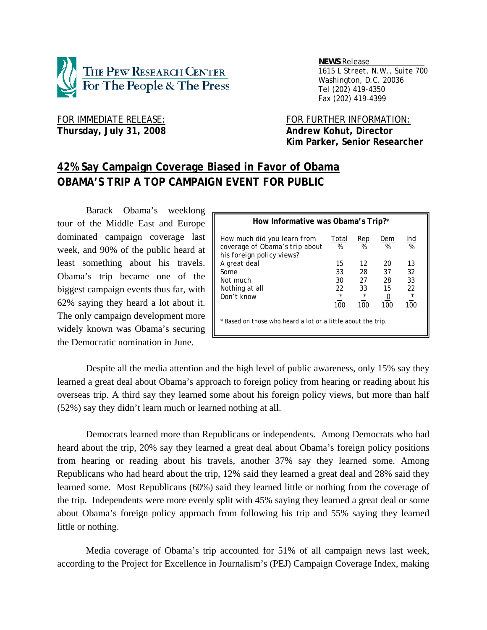

 *NEWS Release . 1615 L Street, N.W., Suite 700 Washington, D.C. 20036 Tel (202) 419-4350 Fax (202) 419-4399*

Thursday, July 31, 2008 **Andrew Kohut, Director** 

FOR IMMEDIATE RELEASE: FOR FURTHER INFORMATION:  **Kim Parker, Senior Researcher** 

# **42% Say Campaign Coverage Biased in Favor of Obama OBAMA'S TRIP A TOP CAMPAIGN EVENT FOR PUBLIC**

 Barack Obama's weeklong tour of the Middle East and Europe dominated campaign coverage last week, and 90% of the public heard at least something about his travels. Obama's trip became one of the biggest campaign events thus far, with 62% saying they heard a lot about it. The only campaign development more widely known was Obama's securing the Democratic nomination in June.

| How Informative was Obama's Trip?*                                                         |                |                |                       |                |  |  |  |
|--------------------------------------------------------------------------------------------|----------------|----------------|-----------------------|----------------|--|--|--|
| How much did you learn from<br>coverage of Obama's trip about<br>his foreign policy views? | Total<br>%     | Rep<br>%       | Dem<br>%              | Ind<br>%       |  |  |  |
| A great deal                                                                               | 15             | 12             | 20                    | 13             |  |  |  |
| <b>Some</b>                                                                                | 33             | 28             | 37                    | 32             |  |  |  |
| Not much                                                                                   | 30             | 27             | 28                    | 33             |  |  |  |
| Nothing at all                                                                             | 22             | 33             | 15                    | 22             |  |  |  |
| Don't know                                                                                 | $\star$<br>100 | $\star$<br>100 | $\overline{0}$<br>100 | $\star$<br>100 |  |  |  |
| * Based on those who heard a lot or a little about the trip.                               |                |                |                       |                |  |  |  |

 Despite all the media attention and the high level of public awareness, only 15% say they learned a great deal about Obama's approach to foreign policy from hearing or reading about his overseas trip. A third say they learned some about his foreign policy views, but more than half (52%) say they didn't learn much or learned nothing at all.

 Democrats learned more than Republicans or independents. Among Democrats who had heard about the trip, 20% say they learned a great deal about Obama's foreign policy positions from hearing or reading about his travels, another 37% say they learned some. Among Republicans who had heard about the trip, 12% said they learned a great deal and 28% said they learned some. Most Republicans (60%) said they learned little or nothing from the coverage of the trip. Independents were more evenly split with 45% saying they learned a great deal or some about Obama's foreign policy approach from following his trip and 55% saying they learned little or nothing.

 Media coverage of Obama's trip accounted for 51% of all campaign news last week, according to the Project for Excellence in Journalism's (PEJ) Campaign Coverage Index, making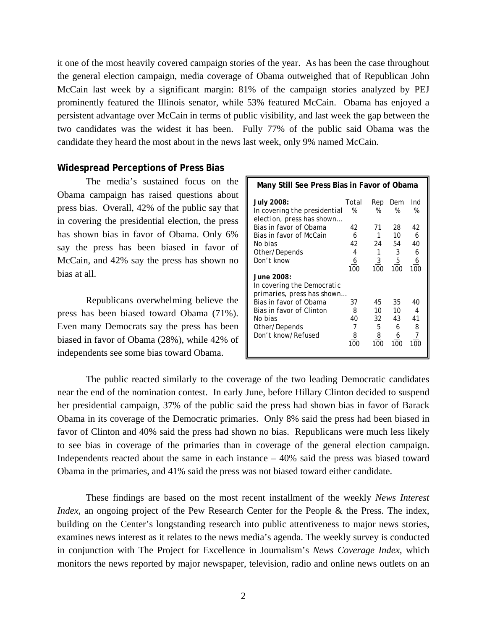it one of the most heavily covered campaign stories of the year. As has been the case throughout the general election campaign, media coverage of Obama outweighed that of Republican John McCain last week by a significant margin: 81% of the campaign stories analyzed by PEJ prominently featured the Illinois senator, while 53% featured McCain. Obama has enjoyed a persistent advantage over McCain in terms of public visibility, and last week the gap between the two candidates was the widest it has been. Fully 77% of the public said Obama was the candidate they heard the most about in the news last week, only 9% named McCain.

### **Widespread Perceptions of Press Bias**

 The media's sustained focus on the Obama campaign has raised questions about press bias. Overall, 42% of the public say that in covering the presidential election, the press has shown bias in favor of Obama. Only 6% say the press has been biased in favor of McCain, and 42% say the press has shown no bias at all.

 Republicans overwhelming believe the press has been biased toward Obama (71%). Even many Democrats say the press has been biased in favor of Obama (28%), while 42% of independents see some bias toward Obama.

| Many Still See Press Bias in Favor of Obama |                                                     |                                 |                                       |  |  |  |  |
|---------------------------------------------|-----------------------------------------------------|---------------------------------|---------------------------------------|--|--|--|--|
| %                                           | Rep<br>%                                            | Dem<br>%                        | Ind<br>%                              |  |  |  |  |
| 42                                          | 71                                                  | 28                              | 42                                    |  |  |  |  |
| 6                                           |                                                     | 10                              | 6<br>40                               |  |  |  |  |
| 4                                           | 1                                                   | 3                               | 6                                     |  |  |  |  |
| 6<br>100                                    | 100                                                 | 100                             | $\frac{6}{100}$                       |  |  |  |  |
|                                             |                                                     |                                 |                                       |  |  |  |  |
|                                             |                                                     |                                 |                                       |  |  |  |  |
| 37                                          | 45                                                  | 35                              | 40<br>4                               |  |  |  |  |
| 40                                          |                                                     | 43                              | 41                                    |  |  |  |  |
| 7                                           | 5                                                   | 6                               | 8<br>7                                |  |  |  |  |
| 100                                         | 100                                                 | 100                             | 100                                   |  |  |  |  |
|                                             | Total<br>42<br>primaries, press has shown<br>8<br>8 | 24<br>$\overline{3}$<br>10<br>8 | 54<br>$\overline{5}$<br>10<br>32<br>6 |  |  |  |  |

 The public reacted similarly to the coverage of the two leading Democratic candidates near the end of the nomination contest. In early June, before Hillary Clinton decided to suspend her presidential campaign, 37% of the public said the press had shown bias in favor of Barack Obama in its coverage of the Democratic primaries. Only 8% said the press had been biased in favor of Clinton and 40% said the press had shown no bias. Republicans were much less likely to see bias in coverage of the primaries than in coverage of the general election campaign. Independents reacted about the same in each instance – 40% said the press was biased toward Obama in the primaries, and 41% said the press was not biased toward either candidate.

These findings are based on the most recent installment of the weekly *News Interest Index*, an ongoing project of the Pew Research Center for the People & the Press. The index, building on the Center's longstanding research into public attentiveness to major news stories, examines news interest as it relates to the news media's agenda. The weekly survey is conducted in conjunction with The Project for Excellence in Journalism's *News Coverage Index*, which monitors the news reported by major newspaper, television, radio and online news outlets on an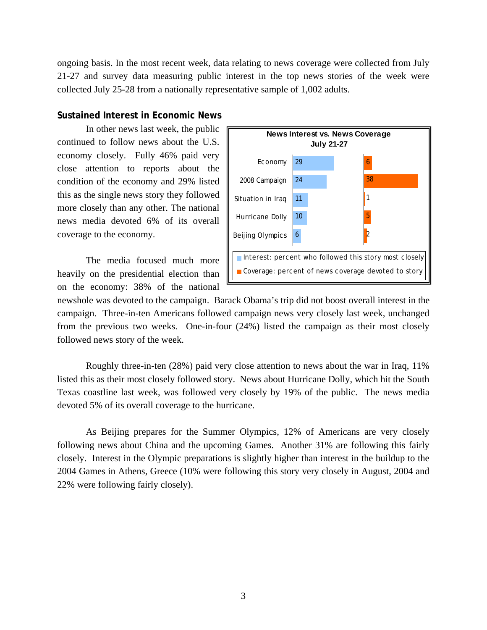ongoing basis. In the most recent week, data relating to news coverage were collected from July 21-27 and survey data measuring public interest in the top news stories of the week were collected July 25-28 from a nationally representative sample of 1,002 adults.

### **Sustained Interest in Economic News**

 In other news last week, the public continued to follow news about the U.S. economy closely. Fully 46% paid very close attention to reports about the condition of the economy and 29% listed this as the single news story they followed more closely than any other. The national news media devoted 6% of its overall coverage to the economy.

 The media focused much more heavily on the presidential election than on the economy: 38% of the national



newshole was devoted to the campaign. Barack Obama's trip did not boost overall interest in the campaign. Three-in-ten Americans followed campaign news very closely last week, unchanged from the previous two weeks. One-in-four (24%) listed the campaign as their most closely followed news story of the week.

 Roughly three-in-ten (28%) paid very close attention to news about the war in Iraq, 11% listed this as their most closely followed story. News about Hurricane Dolly, which hit the South Texas coastline last week, was followed very closely by 19% of the public. The news media devoted 5% of its overall coverage to the hurricane.

 As Beijing prepares for the Summer Olympics, 12% of Americans are very closely following news about China and the upcoming Games. Another 31% are following this fairly closely. Interest in the Olympic preparations is slightly higher than interest in the buildup to the 2004 Games in Athens, Greece (10% were following this story very closely in August, 2004 and 22% were following fairly closely).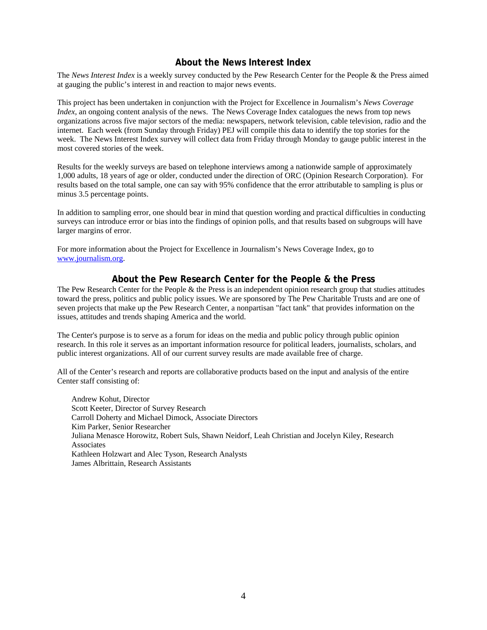# **About the News Interest Index**

The *News Interest Index* is a weekly survey conducted by the Pew Research Center for the People & the Press aimed at gauging the public's interest in and reaction to major news events.

This project has been undertaken in conjunction with the Project for Excellence in Journalism's *News Coverage Index*, an ongoing content analysis of the news. The News Coverage Index catalogues the news from top news organizations across five major sectors of the media: newspapers, network television, cable television, radio and the internet. Each week (from Sunday through Friday) PEJ will compile this data to identify the top stories for the week. The News Interest Index survey will collect data from Friday through Monday to gauge public interest in the most covered stories of the week.

Results for the weekly surveys are based on telephone interviews among a nationwide sample of approximately 1,000 adults, 18 years of age or older, conducted under the direction of ORC (Opinion Research Corporation). For results based on the total sample, one can say with 95% confidence that the error attributable to sampling is plus or minus 3.5 percentage points.

In addition to sampling error, one should bear in mind that question wording and practical difficulties in conducting surveys can introduce error or bias into the findings of opinion polls, and that results based on subgroups will have larger margins of error.

For more information about the Project for Excellence in Journalism's News Coverage Index, go to www.journalism.org.

## **About the Pew Research Center for the People & the Press**

The Pew Research Center for the People & the Press is an independent opinion research group that studies attitudes toward the press, politics and public policy issues. We are sponsored by The Pew Charitable Trusts and are one of seven projects that make up the Pew Research Center, a nonpartisan "fact tank" that provides information on the issues, attitudes and trends shaping America and the world.

The Center's purpose is to serve as a forum for ideas on the media and public policy through public opinion research. In this role it serves as an important information resource for political leaders, journalists, scholars, and public interest organizations. All of our current survey results are made available free of charge.

All of the Center's research and reports are collaborative products based on the input and analysis of the entire Center staff consisting of:

 Andrew Kohut, Director Scott Keeter, Director of Survey Research Carroll Doherty and Michael Dimock, Associate Directors Kim Parker, Senior Researcher Juliana Menasce Horowitz, Robert Suls, Shawn Neidorf, Leah Christian and Jocelyn Kiley, Research **Associates**  Kathleen Holzwart and Alec Tyson, Research Analysts James Albrittain, Research Assistants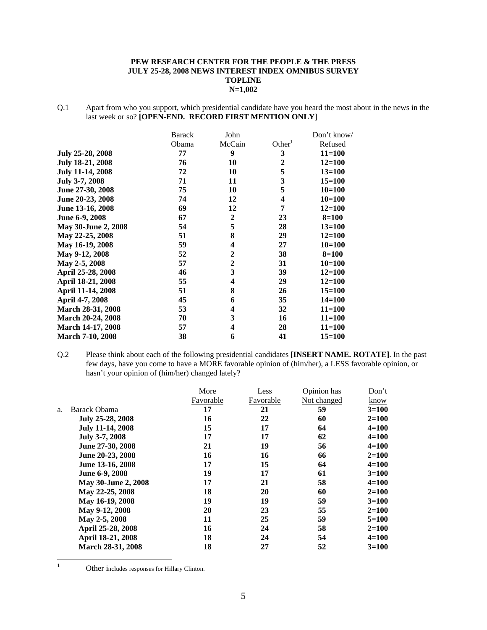#### **PEW RESEARCH CENTER FOR THE PEOPLE & THE PRESS JULY 25-28, 2008 NEWS INTEREST INDEX OMNIBUS SURVEY TOPLINE N=1,002**

Q.1 Apart from who you support, which presidential candidate have you heard the most about in the news in the last week or so? **[OPEN-END. RECORD FIRST MENTION ONLY]** 

|                          | <b>Barack</b> | John           |                    | Don't know/ |
|--------------------------|---------------|----------------|--------------------|-------------|
|                          | Obama         | McCain         | Other <sup>1</sup> | Refused     |
| July 25-28, 2008         | 77            | 9              | 3                  | $11 = 100$  |
| July 18-21, 2008         | 76            | 10             | $\overline{2}$     | $12 = 100$  |
| <b>July 11-14, 2008</b>  | 72            | 10             | 5                  | $13 = 100$  |
| July 3-7, 2008           | 71            | 11             | 3                  | $15 = 100$  |
| June 27-30, 2008         | 75            | 10             | 5                  | $10=100$    |
| June 20-23, 2008         | 74            | 12             | 4                  | $10 = 100$  |
| June 13-16, 2008         | 69            | 12             | 7                  | $12 = 100$  |
| June 6-9, 2008           | 67            | $\mathbf 2$    | 23                 | $8 = 100$   |
| May 30-June 2, 2008      | 54            | 5              | 28                 | $13 = 100$  |
| May 22-25, 2008          | 51            | 8              | 29                 | $12 = 100$  |
| May 16-19, 2008          | 59            | 4              | 27                 | $10=100$    |
| May 9-12, 2008           | 52            | $\overline{2}$ | 38                 | $8 = 100$   |
| May 2-5, 2008            | 57            | $\overline{2}$ | 31                 | $10=100$    |
| April 25-28, 2008        | 46            | 3              | 39                 | $12 = 100$  |
| April 18-21, 2008        | 55            | 4              | 29                 | $12 = 100$  |
| April 11-14, 2008        | 51            | 8              | 26                 | $15 = 100$  |
| April 4-7, 2008          | 45            | 6              | 35                 | $14 = 100$  |
| March 28-31, 2008        | 53            | 4              | 32                 | $11 = 100$  |
| <b>March 20-24, 2008</b> | 70            | 3              | 16                 | $11 = 100$  |
| <b>March 14-17, 2008</b> | 57            | 4              | 28                 | $11 = 100$  |
| <b>March 7-10, 2008</b>  | 38            | 6              | 41                 | 15=100      |

Q.2 Please think about each of the following presidential candidates **[INSERT NAME. ROTATE]**. In the past few days, have you come to have a MORE favorable opinion of (him/her), a LESS favorable opinion, or hasn't your opinion of (him/her) changed lately?

|    |                         | More      | Less      | Opinion has | Don't     |
|----|-------------------------|-----------|-----------|-------------|-----------|
|    |                         | Favorable | Favorable | Not changed | know      |
| a. | Barack Obama            | 17        | 21        | 59          | $3=100$   |
|    | July 25-28, 2008        | 16        | 22        | 60          | $2 = 100$ |
|    | <b>July 11-14, 2008</b> | 15        | 17        | 64          | $4 = 100$ |
|    | July 3-7, 2008          | 17        | 17        | 62          | $4 = 100$ |
|    | June 27-30, 2008        | 21        | 19        | 56          | $4 = 100$ |
|    | June 20-23, 2008        | 16        | 16        | 66          | $2=100$   |
|    | June 13-16, 2008        | 17        | 15        | 64          | $4 = 100$ |
|    | June 6-9, 2008          | 19        | 17        | 61          | $3=100$   |
|    | May 30-June 2, 2008     | 17        | 21        | 58          | $4 = 100$ |
|    | May 22-25, 2008         | 18        | 20        | 60          | $2=100$   |
|    | May 16-19, 2008         | 19        | 19        | 59          | $3=100$   |
|    | May 9-12, 2008          | 20        | 23        | 55          | $2=100$   |
|    | May 2-5, 2008           | 11        | 25        | 59          | $5=100$   |
|    | April 25-28, 2008       | 16        | 24        | 58          | $2=100$   |
|    | April 18-21, 2008       | 18        | 24        | 54          | $4 = 100$ |
|    | March 28-31, 2008       | 18        | 27        | 52          | $3=100$   |

 $\frac{1}{1}$ 

Other includes responses for Hillary Clinton.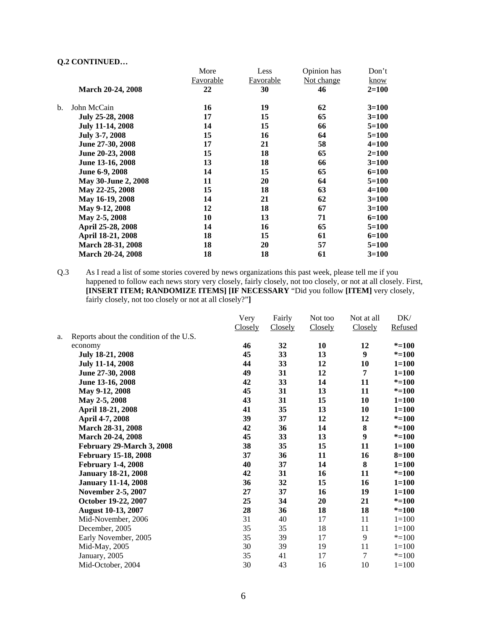|                          | More            | Less      | Opinion has | Don't     |
|--------------------------|-----------------|-----------|-------------|-----------|
|                          | Favorable       | Favorable | Not change  | know      |
| <b>March 20-24, 2008</b> | 22              | 30        | 46          | $2 = 100$ |
| John McCain              | 16              | 19        | 62          | $3=100$   |
| July 25-28, 2008         | 17              | 15        | 65          | $3=100$   |
| <b>July 11-14, 2008</b>  | 14              | 15        | 66          | $5=100$   |
| July 3-7, 2008           | 15              | 16        | 64          | $5=100$   |
| June 27-30, 2008         | 17              | 21        | 58          | $4 = 100$ |
| June 20-23, 2008         | 15              | 18        | 65          | $2=100$   |
| June 13-16, 2008         | 13              | 18        | 66          | $3=100$   |
| June 6-9, 2008           | 14              | 15        | 65          | $6=100$   |
| May 30-June 2, 2008      | 11              | 20        | 64          | $5=100$   |
| May 22-25, 2008          | 15              | 18        | 63          | $4 = 100$ |
| May 16-19, 2008          | 14              | 21        | 62          | $3 = 100$ |
| May 9-12, 2008           | 12              | 18        | 67          | $3=100$   |
| May 2-5, 2008            | 10              | 13        | 71          | $6 = 100$ |
| April 25-28, 2008        | 14              | 16        | 65          | $5 = 100$ |
| April 18-21, 2008        | 18              | 15        | 61          | $6 = 100$ |
| March 28-31, 2008        | 18              | 20        | 57          | $5=100$   |
| <b>March 20-24, 2008</b> | 18              | 18        | 61          | $3=100$   |
|                          | Yw contribution |           |             |           |

Q.3 As I read a list of some stories covered by news organizations this past week, please tell me if you happened to follow each news story very closely, fairly closely, not too closely, or not at all closely. First, **[INSERT ITEM; RANDOMIZE ITEMS] [IF NECESSARY** "Did you follow **[ITEM]** very closely, fairly closely, not too closely or not at all closely?"**]** 

|    |                                         | Very    | Fairly  | Not too | Not at all     | DK/       |
|----|-----------------------------------------|---------|---------|---------|----------------|-----------|
|    |                                         | Closely | Closely | Closely | Closely        | Refused   |
| a. | Reports about the condition of the U.S. |         |         |         |                |           |
|    | economy                                 | 46      | 32      | 10      | 12             | $* = 100$ |
|    | July 18-21, 2008                        | 45      | 33      | 13      | 9              | $* = 100$ |
|    | <b>July 11-14, 2008</b>                 | 44      | 33      | 12      | 10             | $1 = 100$ |
|    | June 27-30, 2008                        | 49      | 31      | 12      | 7              | $1 = 100$ |
|    | June 13-16, 2008                        | 42      | 33      | 14      | 11             | $* = 100$ |
|    | May 9-12, 2008                          | 45      | 31      | 13      | 11             | $* = 100$ |
|    | May 2-5, 2008                           | 43      | 31      | 15      | 10             | $1 = 100$ |
|    | April 18-21, 2008                       | 41      | 35      | 13      | 10             | $1 = 100$ |
|    | April 4-7, 2008                         | 39      | 37      | 12      | 12             | $* = 100$ |
|    | March 28-31, 2008                       | 42      | 36      | 14      | 8              | $* = 100$ |
|    | March 20-24, 2008                       | 45      | 33      | 13      | 9              | $* = 100$ |
|    | February 29-March 3, 2008               | 38      | 35      | 15      | 11             | $1 = 100$ |
|    | <b>February 15-18, 2008</b>             | 37      | 36      | 11      | 16             | $8 = 100$ |
|    | <b>February 1-4, 2008</b>               | 40      | 37      | 14      | 8              | $1 = 100$ |
|    | <b>January 18-21, 2008</b>              | 42      | 31      | 16      | 11             | $* = 100$ |
|    | <b>January 11-14, 2008</b>              | 36      | 32      | 15      | 16             | $1 = 100$ |
|    | <b>November 2-5, 2007</b>               | 27      | 37      | 16      | 19             | $1 = 100$ |
|    | October 19-22, 2007                     | 25      | 34      | 20      | 21             | $* = 100$ |
|    | <b>August 10-13, 2007</b>               | 28      | 36      | 18      | 18             | $* = 100$ |
|    | Mid-November, 2006                      | 31      | 40      | 17      | 11             | $1 = 100$ |
|    | December, 2005                          | 35      | 35      | 18      | 11             | $1 = 100$ |
|    | Early November, 2005                    | 35      | 39      | 17      | 9              | $* = 100$ |
|    | Mid-May, 2005                           | 30      | 39      | 19      | 11             | $1 = 100$ |
|    | January, 2005                           | 35      | 41      | 17      | $\overline{7}$ | $* = 100$ |
|    | Mid-October, 2004                       | 30      | 43      | 16      | 10             | $1 = 100$ |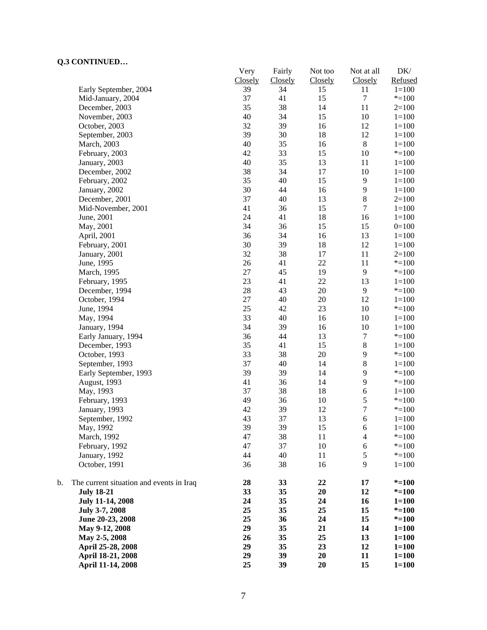| CONTROLLOW                                     | Very    | Fairly  | Not too | Not at all               | $DK/$     |
|------------------------------------------------|---------|---------|---------|--------------------------|-----------|
|                                                | Closely | Closely | Closely | Closely                  | Refused   |
| Early September, 2004                          | 39      | 34      | 15      | 11                       | $1 = 100$ |
| Mid-January, 2004                              | 37      | 41      | 15      | $\boldsymbol{7}$         | $* = 100$ |
| December, 2003                                 | 35      | 38      | 14      | 11                       | $2=100$   |
| November, 2003                                 | 40      | 34      | 15      | $10\,$                   | $1 = 100$ |
| October, 2003                                  | 32      | 39      | 16      | 12                       | $1 = 100$ |
| September, 2003                                | 39      | 30      | 18      | 12                       | $1 = 100$ |
| March, 2003                                    | 40      | 35      | 16      | $\,8\,$                  | $1 = 100$ |
| February, 2003                                 | 42      | 33      | 15      | $10\,$                   | $* = 100$ |
| January, 2003                                  | 40      | 35      | 13      | 11                       | $1 = 100$ |
| December, 2002                                 | 38      | 34      | 17      | 10                       | $1 = 100$ |
| February, 2002                                 | 35      | 40      | 15      | $\mathbf{9}$             | $1 = 100$ |
| January, 2002                                  | 30      | 44      | 16      | 9                        | $1 = 100$ |
| December, 2001                                 | 37      | 40      | 13      | $\,8\,$                  | $2=100$   |
| Mid-November, 2001                             | 41      | 36      | 15      | $\tau$                   | $1 = 100$ |
| June, 2001                                     | 24      | 41      | 18      | 16                       | $1 = 100$ |
| May, 2001                                      | 34      | 36      | 15      | 15                       | $0=100$   |
| April, 2001                                    | 36      | 34      | 16      | 13                       | $1 = 100$ |
| February, 2001                                 | 30      | 39      | 18      | 12                       | $1 = 100$ |
| January, 2001                                  | 32      | 38      | 17      | 11                       | $2=100$   |
| June, 1995                                     | 26      | 41      | 22      | 11                       | $* = 100$ |
| March, 1995                                    | 27      | 45      | 19      | 9                        | $* = 100$ |
| February, 1995                                 | 23      | 41      | 22      | 13                       | $1 = 100$ |
| December, 1994                                 | $28\,$  | 43      | 20      | 9                        | $* = 100$ |
| October, 1994                                  | 27      | 40      | 20      | 12                       | $1 = 100$ |
| June, 1994                                     | 25      | 42      | 23      | 10                       | $* = 100$ |
| May, 1994                                      | 33      | 40      | 16      | $10\,$                   | $1 = 100$ |
| January, 1994                                  | 34      | 39      | 16      | 10                       | $1 = 100$ |
| Early January, 1994                            | 36      | 44      | 13      | $\tau$                   | $* = 100$ |
|                                                | 35      | 41      | 15      | $\,8\,$                  |           |
| December, 1993                                 |         |         |         |                          | $1 = 100$ |
| October, 1993                                  | 33      | 38      | 20      | 9                        | $* = 100$ |
| September, 1993                                | 37      | 40      | 14      | $\,$ 8 $\,$              | $1 = 100$ |
| Early September, 1993                          | 39      | 39      | 14      | 9                        | $* = 100$ |
| August, 1993                                   | 41      | 36      | 14      | 9                        | $* = 100$ |
| May, 1993                                      | 37      | 38      | 18      | 6                        | $1 = 100$ |
| February, 1993                                 | 49      | 36      | 10      | $\mathfrak s$            | $* = 100$ |
| January, 1993                                  | 42      | 39      | 12      | $\overline{7}$           | $* = 100$ |
| September, 1992                                | 43      | 37      | 13      | 6                        | $1=100$   |
| May, 1992                                      | 39      | 39      | 15      | 6                        | $1 = 100$ |
| March, 1992                                    | 47      | 38      | 11      | $\overline{\mathcal{L}}$ | $* = 100$ |
| February, 1992                                 | 47      | 37      | $10\,$  | $\boldsymbol{6}$         | $* = 100$ |
| January, 1992                                  | 44      | 40      | 11      | $\mathfrak s$            | $* = 100$ |
| October, 1991                                  | 36      | 38      | 16      | 9                        | $1 = 100$ |
| b.<br>The current situation and events in Iraq | 28      | 33      | 22      | 17                       | $* = 100$ |
| <b>July 18-21</b>                              | 33      | 35      | 20      | 12                       | $* = 100$ |
| <b>July 11-14, 2008</b>                        | 24      | 35      | 24      | 16                       | $1 = 100$ |
| July 3-7, 2008                                 | 25      | 35      | 25      | 15                       | $* = 100$ |
| June 20-23, 2008                               | 25      | 36      | 24      | 15                       | $* = 100$ |
| May 9-12, 2008                                 | 29      | 35      | 21      | 14                       | $1 = 100$ |
| May 2-5, 2008                                  | 26      | 35      | 25      | 13                       | $1 = 100$ |
| April 25-28, 2008                              | 29      | 35      | 23      | 12                       | $1 = 100$ |
| April 18-21, 2008                              | 29      | 39      | 20      | 11                       | $1 = 100$ |
| April 11-14, 2008                              | 25      | 39      | 20      | 15                       | $1 = 100$ |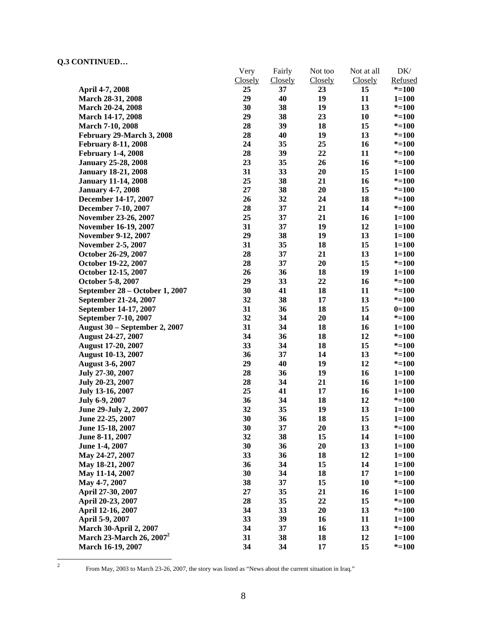|                                      | Very    | Fairly         | Not too | Not at all | DK/       |
|--------------------------------------|---------|----------------|---------|------------|-----------|
|                                      | Closely | <b>Closely</b> | Closely | Closely    | Refused   |
| April 4-7, 2008                      | 25      | 37             | 23      | 15         | $* = 100$ |
| March 28-31, 2008                    | 29      | 40             | 19      | 11         | $1 = 100$ |
| March 20-24, 2008                    | 30      | 38             | 19      | 13         | $* = 100$ |
| March 14-17, 2008                    | 29      | 38             | 23      | 10         | $* = 100$ |
| <b>March 7-10, 2008</b>              | 28      | 39             | 18      | 15         | $* = 100$ |
| February 29-March 3, 2008            | 28      | 40             | 19      | 13         | $* = 100$ |
| <b>February 8-11, 2008</b>           | 24      | 35             | 25      | 16         | $* = 100$ |
| <b>February 1-4, 2008</b>            | 28      | 39             | 22      | 11         | $* = 100$ |
| <b>January 25-28, 2008</b>           | 23      | 35             | 26      | 16         | $* = 100$ |
| <b>January 18-21, 2008</b>           | 31      | 33             | 20      | 15         | $1 = 100$ |
| <b>January 11-14, 2008</b>           | 25      | 38             | 21      | 16         | $* = 100$ |
| <b>January 4-7, 2008</b>             | $27\,$  | 38             | 20      | 15         | $* = 100$ |
| December 14-17, 2007                 | 26      | 32             | 24      | 18         | $* = 100$ |
| December 7-10, 2007                  | 28      | 37             | 21      | 14         | $* = 100$ |
| November 23-26, 2007                 | 25      | 37             | 21      | 16         | $1 = 100$ |
| November 16-19, 2007                 | 31      | 37             | 19      | 12         | $1 = 100$ |
| <b>November 9-12, 2007</b>           | 29      | 38             | 19      | 13         | $1 = 100$ |
| <b>November 2-5, 2007</b>            | 31      | 35             | 18      | 15         | $1 = 100$ |
| October 26-29, 2007                  | 28      | 37             | 21      | 13         | $1 = 100$ |
| October 19-22, 2007                  | 28      | 37             | 20      | 15         | $* = 100$ |
| October 12-15, 2007                  | 26      | 36             | 18      | 19         | $1 = 100$ |
| October 5-8, 2007                    | 29      | 33             | 22      | 16         | $* = 100$ |
| September 28 – October 1, 2007       | 30      | 41             | 18      | 11         | $* = 100$ |
| September 21-24, 2007                | 32      | 38             | 17      | 13         | $* = 100$ |
| September 14-17, 2007                | 31      | 36             | 18      | 15         | $0=100$   |
| September 7-10, 2007                 | 32      | 34             | 20      | 14         | $* = 100$ |
| <b>August 30 – September 2, 2007</b> | 31      | 34             | 18      | 16         | $1 = 100$ |
| August 24-27, 2007                   | 34      | 36             | 18      | 12         | $* = 100$ |
| August 17-20, 2007                   | 33      | 34             | 18      | 15         | $* = 100$ |
| <b>August 10-13, 2007</b>            | 36      | 37             | 14      | 13         | $* = 100$ |
| <b>August 3-6, 2007</b>              | 29      | 40             | 19      | 12         | $* = 100$ |
| July 27-30, 2007                     | 28      | 36             | 19      | 16         | $1 = 100$ |
| July 20-23, 2007                     | 28      | 34             | 21      | 16         | $1 = 100$ |
| July 13-16, 2007                     | 25      | 41             | 17      | 16         | $1 = 100$ |
| July 6-9, 2007                       | 36      | 34             | 18      | 12         | $* = 100$ |
| June 29-July 2, 2007                 | 32      | 35             | 19      | 13         | $1 = 100$ |
| June 22-25, 2007                     | 30      | 36             | 18      | 15         | $1 = 100$ |
| June 15-18, 2007                     | 30      | 37             | 20      | 13         | $* = 100$ |
| June 8-11, 2007                      | 32      | 38             | 15      | 14         | $1 = 100$ |
| June 1-4, 2007                       | 30      | 36             | 20      | 13         | $1 = 100$ |
| May 24-27, 2007                      | 33      | 36             | 18      | 12         | $1 = 100$ |
| May 18-21, 2007                      | 36      | 34             | 15      | 14         | $1 = 100$ |
| May 11-14, 2007                      | 30      | 34             | 18      | 17         | $1 = 100$ |
| May 4-7, 2007                        | 38      | 37             | 15      | 10         | $* = 100$ |
| April 27-30, 2007                    | 27      | 35             | 21      | 16         | $1 = 100$ |
| April 20-23, 2007                    | 28      | 35             | 22      | 15         | $* = 100$ |
| April 12-16, 2007                    | 34      | 33             | 20      | 13         | $* = 100$ |
| April 5-9, 2007                      | 33      | 39             | 16      | 11         | $1 = 100$ |
| <b>March 30-April 2, 2007</b>        | 34      | 37             | 16      | 13         | $* = 100$ |
| March 23-March 26, 2007 <sup>2</sup> | 31      | 38             | 18      | 12         | $1 = 100$ |
| March 16-19, 2007                    | 34      | 34             | 17      | 15         | $* = 100$ |
|                                      |         |                |         |            |           |

 $\frac{1}{2}$ 

From May, 2003 to March 23-26, 2007, the story was listed as "News about the current situation in Iraq."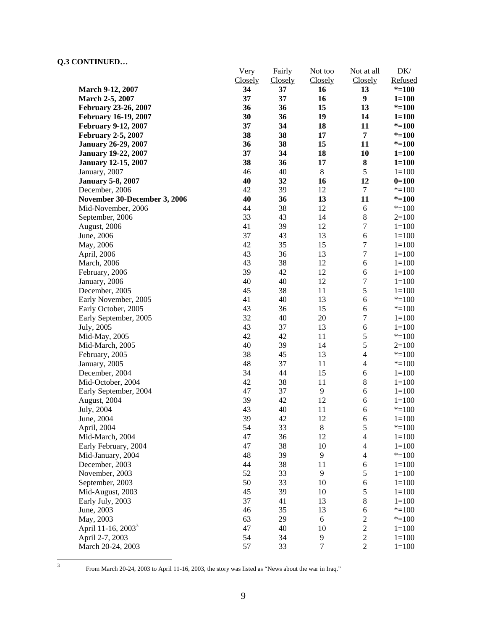|                                | Very    | Fairly  | Not too          | Not at all       | DK/       |
|--------------------------------|---------|---------|------------------|------------------|-----------|
|                                | Closely | Closely | Closely          | <b>Closely</b>   | Refused   |
| <b>March 9-12, 2007</b>        | 34      | 37      | 16               | 13               | $* = 100$ |
| March 2-5, 2007                | 37      | 37      | 16               | $\boldsymbol{9}$ | $1 = 100$ |
| February 23-26, 2007           | 36      | 36      | 15               | 13               | $* = 100$ |
| <b>February 16-19, 2007</b>    | 30      | 36      | 19               | 14               | $1 = 100$ |
| February 9-12, 2007            | 37      | 34      | 18               | 11               | $* = 100$ |
| <b>February 2-5, 2007</b>      | 38      | 38      | 17               | $\overline{7}$   | $* = 100$ |
| <b>January 26-29, 2007</b>     | 36      | 38      | 15               | 11               | $* = 100$ |
| <b>January 19-22, 2007</b>     | 37      | 34      | 18               | 10               | $1 = 100$ |
| <b>January 12-15, 2007</b>     | 38      | 36      | 17               | 8                | $1 = 100$ |
| January, 2007                  | 46      | 40      | $\,8\,$          | $\sqrt{5}$       | $1 = 100$ |
| <b>January 5-8, 2007</b>       | 40      | 32      | 16               | 12               | $0=100$   |
| December, 2006                 | 42      | 39      | 12               | $\boldsymbol{7}$ | $* = 100$ |
| November 30-December 3, 2006   | 40      | 36      | 13               | 11               | $* = 100$ |
| Mid-November, 2006             | 44      | 38      | 12               | $\sqrt{6}$       | $* = 100$ |
| September, 2006                | 33      | 43      | 14               | $\,8\,$          | $2=100$   |
| August, 2006                   | 41      | 39      | 12               | $\boldsymbol{7}$ | $1 = 100$ |
| June, 2006                     | 37      | 43      | 13               | $\sqrt{6}$       | $1 = 100$ |
| May, 2006                      | 42      | 35      | 15               | $\boldsymbol{7}$ | $1 = 100$ |
| April, 2006                    | 43      | 36      | 13               | $\boldsymbol{7}$ | $1 = 100$ |
| March, 2006                    | 43      | 38      | 12               | $\sqrt{6}$       | $1 = 100$ |
| February, 2006                 | 39      | 42      | 12               | $\sqrt{6}$       | $1 = 100$ |
| January, 2006                  | 40      | 40      | 12               | $\boldsymbol{7}$ | $1 = 100$ |
| December, 2005                 | 45      | 38      | 11               | $\sqrt{5}$       | $1 = 100$ |
| Early November, 2005           | 41      | 40      | 13               | $\sqrt{6}$       | $* = 100$ |
| Early October, 2005            | 43      | 36      | 15               | $\sqrt{6}$       | $* = 100$ |
| Early September, 2005          | 32      | 40      | 20               | $\tau$           | $1 = 100$ |
| July, 2005                     | 43      | 37      | 13               | $\sqrt{6}$       | $1 = 100$ |
| Mid-May, 2005                  | 42      | 42      | 11               | $\sqrt{5}$       | $* = 100$ |
| Mid-March, 2005                | 40      | 39      | 14               | 5                | $2=100$   |
| February, 2005                 | 38      | 45      | 13               | $\overline{4}$   | $* = 100$ |
| January, 2005                  | 48      | 37      | 11               | $\overline{4}$   | $* = 100$ |
| December, 2004                 | 34      | 44      | 15               | $\sqrt{6}$       | $1 = 100$ |
| Mid-October, 2004              | 42      | 38      | 11               | $\,$ 8 $\,$      | $1 = 100$ |
| Early September, 2004          | 47      | 37      | 9                | 6                | $1 = 100$ |
| August, 2004                   | 39      | 42      | 12               | 6                | $1 = 100$ |
| July, 2004                     | 43      | 40      | 11               | $\sqrt{6}$       | $* = 100$ |
| June, 2004                     | 39      | 42      | 12               | 6                | $1 = 100$ |
| April, 2004                    | 54      | 33      | $\,$ 8 $\,$      | $\sqrt{5}$       | $* = 100$ |
| Mid-March, 2004                | 47      | 36      | 12               | $\overline{4}$   | $1 = 100$ |
| Early February, 2004           | 47      | 38      | 10               | $\overline{4}$   | $1 = 100$ |
| Mid-January, 2004              | 48      | 39      | 9                | $\overline{4}$   | $* = 100$ |
| December, 2003                 | 44      | 38      | 11               | $\sqrt{6}$       | $1 = 100$ |
| November, 2003                 | 52      | 33      | 9                | $\sqrt{5}$       | $1 = 100$ |
| September, 2003                | 50      | 33      | 10               | 6                | $1 = 100$ |
| Mid-August, 2003               | 45      | 39      | 10               | $\sqrt{5}$       | $1 = 100$ |
| Early July, 2003               | 37      | 41      | 13               | $\,8\,$          | $1 = 100$ |
| June, 2003                     | 46      | 35      | 13               | 6                | $* = 100$ |
| May, 2003                      | 63      | 29      | 6                | $\sqrt{2}$       | $* = 100$ |
| April 11-16, 2003 <sup>3</sup> | 47      | 40      | 10               | $\sqrt{2}$       | $1 = 100$ |
| April 2-7, 2003                | 54      | 34      | 9                | $\overline{c}$   | $1 = 100$ |
| March 20-24, 2003              | 57      | 33      | $\boldsymbol{7}$ | $\sqrt{2}$       | $1 = 100$ |

 $\frac{1}{3}$ 

From March 20-24, 2003 to April 11-16, 2003, the story was listed as "News about the war in Iraq."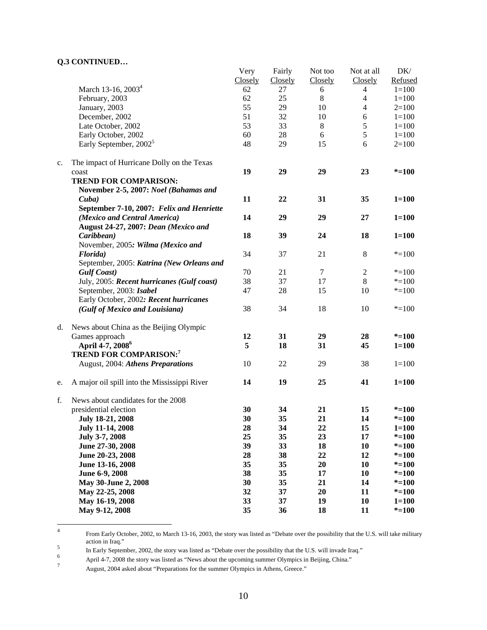|    |                                              | Very    | Fairly  | Not too | Not at all        | DK/       |
|----|----------------------------------------------|---------|---------|---------|-------------------|-----------|
|    |                                              | Closely | Closely | Closely | Closely           | Refused   |
|    | March 13-16, 2003 <sup>4</sup>               | 62      | 27      | 6       | 4                 | $1 = 100$ |
|    | February, 2003                               | 62      | 25      | $\,8\,$ | $\overline{4}$    | $1 = 100$ |
|    | January, 2003                                | 55      | 29      | 10      | 4                 | $2 = 100$ |
|    | December, 2002                               | 51      | 32      | 10      | $\sqrt{6}$        | $1 = 100$ |
|    | Late October, 2002                           | 53      | 33      | 8       | 5                 | $1 = 100$ |
|    | Early October, 2002                          | 60      | $28\,$  | 6       | 5                 | $1 = 100$ |
|    | Early September, 2002 <sup>5</sup>           | 48      | 29      | 15      | 6                 | $2=100$   |
|    |                                              |         |         |         |                   |           |
| c. | The impact of Hurricane Dolly on the Texas   |         |         |         |                   |           |
|    | coast                                        | 19      | 29      | 29      | 23                | $* = 100$ |
|    | <b>TREND FOR COMPARISON:</b>                 |         |         |         |                   |           |
|    | November 2-5, 2007: Noel (Bahamas and        |         |         |         |                   |           |
|    | $\mathbf{C}$ uba)                            | 11      | 22      | 31      | 35                | $1 = 100$ |
|    | September 7-10, 2007: Felix and Henriette    |         |         |         |                   |           |
|    | (Mexico and Central America)                 | 14      | 29      | 29      | 27                | $1 = 100$ |
|    | August 24-27, 2007: Dean (Mexico and         |         |         |         |                   |           |
|    | Caribbean)                                   | 18      | 39      | 24      | 18                | $1 = 100$ |
|    | November, 2005: Wilma (Mexico and            |         |         |         |                   |           |
|    | Florida)                                     | 34      | 37      | 21      | $\,8\,$           | $* = 100$ |
|    | September, 2005: Katrina (New Orleans and    |         |         |         |                   |           |
|    |                                              | 70      | 21      | $\tau$  |                   | $* = 100$ |
|    | <b>Gulf Coast</b> )                          | 38      | 37      | 17      | $\mathbf{2}$<br>8 | $* = 100$ |
|    | July, 2005: Recent hurricanes (Gulf coast)   |         |         |         |                   |           |
|    | September, 2003: Isabel                      | 47      | 28      | 15      | 10                | $* = 100$ |
|    | Early October, 2002: Recent hurricanes       |         |         |         |                   |           |
|    | (Gulf of Mexico and Louisiana)               | 38      | 34      | 18      | 10                | $* = 100$ |
| d. | News about China as the Beijing Olympic      |         |         |         |                   |           |
|    | Games approach                               | 12      | 31      | 29      | 28                | $* = 100$ |
|    | April 4-7, 2008 <sup>6</sup>                 | 5       | 18      | 31      | 45                | $1 = 100$ |
|    | <b>TREND FOR COMPARISON:7</b>                |         |         |         |                   |           |
|    | August, 2004: Athens Preparations            | 10      | 22      | 29      | 38                | $1 = 100$ |
|    |                                              |         |         |         |                   |           |
| e. | A major oil spill into the Mississippi River | 14      | 19      | 25      | 41                | $1 = 100$ |
| f. | News about candidates for the 2008           |         |         |         |                   |           |
|    | presidential election                        | 30      | 34      | 21      | 15                | $* = 100$ |
|    | July 18-21, 2008                             | 30      | 35      | 21      | 14                | $* = 100$ |
|    | <b>July 11-14, 2008</b>                      | 28      | 34      | 22      | 15                | $1 = 100$ |
|    | July 3-7, 2008                               | 25      | 35      | 23      | 17                | $* = 100$ |
|    | June 27-30, 2008                             | 39      | 33      | 18      | 10                | $* = 100$ |
|    | June 20-23, 2008                             | 28      | 38      | 22      | 12                | $* = 100$ |
|    | June 13-16, 2008                             | 35      | 35      | 20      | 10                | $* = 100$ |
|    | June 6-9, 2008                               | 38      | 35      | 17      | 10                | $* = 100$ |
|    | May 30-June 2, 2008                          | 30      | 35      | 21      | 14                | $* = 100$ |
|    | May 22-25, 2008                              | 32      | 37      | 20      | 11                | $* = 100$ |
|    | May 16-19, 2008                              | 33      | 37      | 19      | 10                | $1 = 100$ |
|    | May 9-12, 2008                               | 35      | 36      | 18      | 11                | $* = 100$ |
|    |                                              |         |         |         |                   |           |

 $\frac{1}{4}$  From Early October, 2002, to March 13-16, 2003, the story was listed as "Debate over the possibility that the U.S. will take military s action in Iraq."<br>
<sup>5</sup>

In Early September, 2002, the story was listed as "Debate over the possibility that the U.S. will invade Iraq."  $\frac{6}{100}$  that  $\frac{1}{2}$  and  $\frac{1}{2}$  and  $\frac{1}{2}$  and  $\frac{1}{2}$  and  $\frac{1}{2}$  and  $\frac{1}{2}$  and  $\frac{1}{2}$ 

August, 2004 asked about "Preparations for the summer Olympics in Athens, Greece."

April 4-7, 2008 the story was listed as "News about the upcoming summer Olympics in Beijing, China."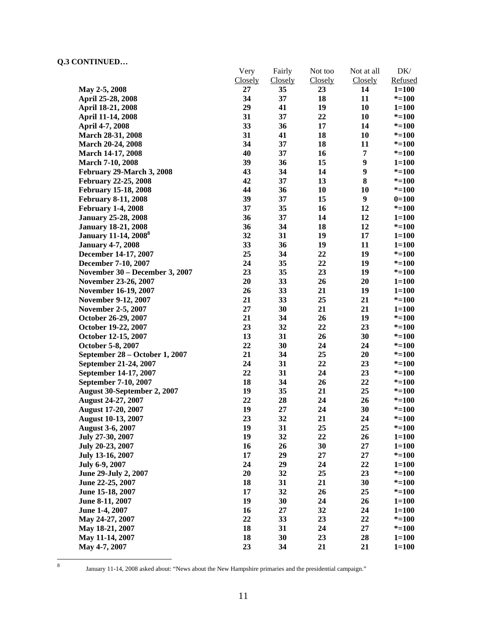|                                         | Very    | Fairly         | Not too | Not at all | DK/       |
|-----------------------------------------|---------|----------------|---------|------------|-----------|
|                                         | Closely | <b>Closely</b> | Closely | Closely    | Refused   |
| May 2-5, 2008                           | 27      | 35             | 23      | 14         | $1 = 100$ |
| April 25-28, 2008                       | 34      | 37             | 18      | 11         | $* = 100$ |
| April 18-21, 2008                       | 29      | 41             | 19      | 10         | $1 = 100$ |
| April 11-14, 2008                       | 31      | 37             | 22      | 10         | $* = 100$ |
| April 4-7, 2008                         | 33      | 36             | 17      | 14         | $* = 100$ |
| March 28-31, 2008                       | 31      | 41             | 18      | 10         | $* = 100$ |
| March 20-24, 2008                       | 34      | 37             | 18      | 11         | $* = 100$ |
| March 14-17, 2008                       | 40      | 37             | 16      | 7          | $* = 100$ |
| <b>March 7-10, 2008</b>                 | 39      | 36             | 15      | 9          | $1 = 100$ |
| February 29-March 3, 2008               | 43      | 34             | 14      | 9          | $* = 100$ |
| <b>February 22-25, 2008</b>             | 42      | 37             | 13      | 8          | $* = 100$ |
| <b>February 15-18, 2008</b>             | 44      | 36             | 10      | 10         | $* = 100$ |
| <b>February 8-11, 2008</b>              | 39      | 37             | 15      | 9          | $0=100$   |
| <b>February 1-4, 2008</b>               | 37      | 35             | 16      | 12         | $* = 100$ |
| <b>January 25-28, 2008</b>              | 36      | 37             | 14      | 12         | $1 = 100$ |
| <b>January 18-21, 2008</b>              | 36      | 34             | 18      | 12         | $* = 100$ |
| <b>January 11-14, 2008</b> <sup>8</sup> | 32      | 31             | 19      | 17         | $1 = 100$ |
| <b>January 4-7, 2008</b>                | 33      | 36             | 19      | 11         | $1 = 100$ |
| December 14-17, 2007                    | 25      | 34             | 22      | 19         | $* = 100$ |
| December 7-10, 2007                     | 24      | 35             | 22      | 19         | $* = 100$ |
| November 30 – December 3, 2007          | 23      | 35             | 23      | 19         | $* = 100$ |
| November 23-26, 2007                    | 20      | 33             | 26      | 20         | $1 = 100$ |
| <b>November 16-19, 2007</b>             | 26      | 33             | 21      | 19         | $1 = 100$ |
| <b>November 9-12, 2007</b>              | 21      | 33             | 25      | 21         | $* = 100$ |
| <b>November 2-5, 2007</b>               | 27      | 30             | 21      | 21         | $1 = 100$ |
| October 26-29, 2007                     | 21      | 34             | 26      | 19         | $* = 100$ |
| October 19-22, 2007                     | 23      | 32             | 22      | 23         | $* = 100$ |
| October 12-15, 2007                     | 13      | 31             | 26      | 30         | $* = 100$ |
| October 5-8, 2007                       | 22      | 30             | 24      | 24         | $* = 100$ |
| September 28 - October 1, 2007          | 21      | 34             | 25      | 20         | $* = 100$ |
| September 21-24, 2007                   | 24      | 31             | 22      | 23         | $* = 100$ |
| September 14-17, 2007                   | 22      | 31             | 24      | 23         | $* = 100$ |
| September 7-10, 2007                    | 18      | 34             | 26      | 22         | $* = 100$ |
| August 30-September 2, 2007             | 19      | 35             | 21      | 25         | $* = 100$ |
| August 24-27, 2007                      | 22      | 28             | 24      | 26         | $* = 100$ |
| <b>August 17-20, 2007</b>               | 19      | 27             | 24      | 30         | $* = 100$ |
| <b>August 10-13, 2007</b>               | 23      | 32             | 21      | 24         | $* = 100$ |
| <b>August 3-6, 2007</b>                 | 19      | 31             | 25      | 25         | $* = 100$ |
| July 27-30, 2007                        | 19      | 32             | 22      | 26         | $1 = 100$ |
| July 20-23, 2007                        | 16      | 26             | 30      | 27         | $1 = 100$ |
| July 13-16, 2007                        | 17      | 29             | 27      | 27         | $* = 100$ |
| July 6-9, 2007                          | 24      | 29             | 24      | 22         | $1 = 100$ |
| June 29-July 2, 2007                    | 20      | 32             | 25      | 23         | $* = 100$ |
| June 22-25, 2007                        | 18      | 31             | 21      | 30         | $* = 100$ |
| June 15-18, 2007                        | 17      | 32             | 26      | 25         | $* = 100$ |
| June 8-11, 2007                         | 19      | 30             | 24      | 26         | $1 = 100$ |
| June 1-4, 2007                          | 16      | 27             | 32      | 24         | $1 = 100$ |
| May 24-27, 2007                         | 22      | 33             | 23      | 22         | $* = 100$ |
| May 18-21, 2007                         | 18      | 31             | 24      | 27         | $* = 100$ |
| May 11-14, 2007                         | 18      | 30             | 23      | 28         | $1 = 100$ |
| May 4-7, 2007                           | 23      | 34             | 21      | 21         | $1 = 100$ |
|                                         |         |                |         |            |           |

8

January 11-14, 2008 asked about: "News about the New Hampshire primaries and the presidential campaign."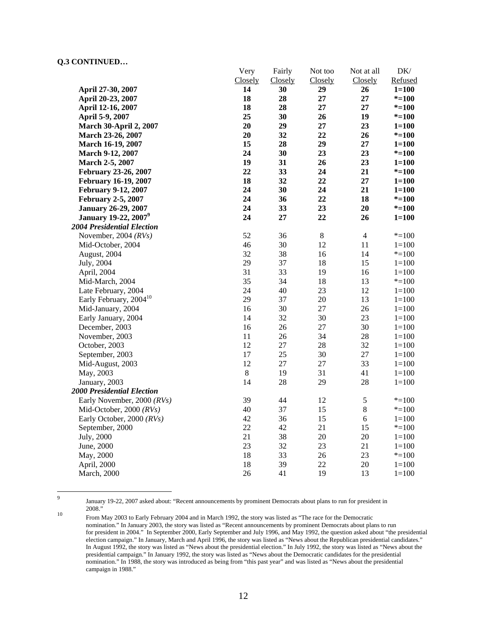|                                         | very    | <b>Fairly</b> | Not too     | Not at all     | DK/       |
|-----------------------------------------|---------|---------------|-------------|----------------|-----------|
|                                         | Closely | Closely       | Closely     | Closely        | Refused   |
| April 27-30, 2007                       | 14      | 30            | 29          | 26             | $1 = 100$ |
| April 20-23, 2007                       | 18      | 28            | $27\,$      | 27             | $* = 100$ |
| April 12-16, 2007                       | 18      | 28            | 27          | 27             | $* = 100$ |
| April 5-9, 2007                         | 25      | 30            | 26          | 19             | $* = 100$ |
| <b>March 30-April 2, 2007</b>           | 20      | 29            | 27          | 23             | $1 = 100$ |
| March 23-26, 2007                       | 20      | 32            | 22          | 26             | $* = 100$ |
| March 16-19, 2007                       | 15      | 28            | 29          | 27             | $1 = 100$ |
| March 9-12, 2007                        | 24      | 30            | 23          | 23             | $* = 100$ |
| March 2-5, 2007                         | 19      | 31            | 26          | 23             | $1 = 100$ |
| February 23-26, 2007                    | 22      | 33            | 24          | 21             | $* = 100$ |
| <b>February 16-19, 2007</b>             | 18      | 32            | 22          | $27\,$         | $1 = 100$ |
| <b>February 9-12, 2007</b>              | 24      | 30            | 24          | 21             | $1 = 100$ |
| <b>February 2-5, 2007</b>               | 24      | 36            | 22          | 18             | $* = 100$ |
| <b>January 26-29, 2007</b>              | 24      | 33            | 23          | 20             | $* = 100$ |
| <b>January 19-22, 2007</b> <sup>9</sup> | 24      | 27            | 22          | 26             | $1 = 100$ |
| <b>2004 Presidential Election</b>       |         |               |             |                |           |
| November, 2004 $(RVs)$                  | 52      | 36            | $\,$ 8 $\,$ | $\overline{4}$ | $* = 100$ |
| Mid-October, 2004                       | 46      | 30            | 12          | 11             | $1 = 100$ |
| August, 2004                            | 32      | 38            | 16          | 14             | $* = 100$ |
| July, 2004                              | 29      | 37            | 18          | 15             | $1=100$   |
| April, 2004                             | 31      | 33            | 19          | 16             | $1 = 100$ |
| Mid-March, 2004                         | 35      | 34            | 18          | 13             | $* = 100$ |
| Late February, 2004                     | 24      | 40            | 23          | 12             | $1 = 100$ |
| Early February, 2004 <sup>10</sup>      | 29      | 37            | 20          | 13             | $1 = 100$ |
| Mid-January, 2004                       | 16      | 30            | 27          | 26             | $1 = 100$ |
| Early January, 2004                     | 14      | 32            | 30          | 23             | $1 = 100$ |
| December, 2003                          | 16      | 26            | 27          | 30             | $1 = 100$ |
| November, 2003                          | 11      | 26            | 34          | 28             | $1 = 100$ |
| October, 2003                           | 12      | 27            | 28          | 32             | $1 = 100$ |
| September, 2003                         | 17      | 25            | 30          | 27             | $1=100$   |
| Mid-August, 2003                        | 12      | $27\,$        | $27\,$      | 33             | $1 = 100$ |
| May, 2003                               | $\,8\,$ | 19            | 31          | 41             | $1 = 100$ |
| January, 2003                           | 14      | 28            | 29          | 28             | $1 = 100$ |
| <b>2000 Presidential Election</b>       |         |               |             |                |           |
| Early November, 2000 (RVs)              | 39      | 44            | 12          | $\mathfrak s$  | $* = 100$ |
| Mid-October, 2000 (RVs)                 | 40      | 37            | 15          | $8\,$          | $* = 100$ |
| Early October, 2000 (RVs)               | 42      | 36            | 15          | 6              | $1 = 100$ |
| September, 2000                         | 22      | 42            | 21          | 15             | $* = 100$ |
| July, 2000                              | 21      | 38            | 20          | 20             | $1=100$   |
| June, 2000                              | 23      | 32            | 23          | 21             | $1 = 100$ |
| May, 2000                               | 18      | 33            | 26          | 23             | $* = 100$ |
| April, 2000                             | 18      | 39            | 22          | 20             | $1 = 100$ |
| March, 2000                             | 26      | 41            | 19          | 13             | $1 = 100$ |

Very

 $\mathbf{F}$  is a

Not too

Not at all

 $\mathbf{D}$ 

-<br>9

January 19-22, 2007 asked about: "Recent announcements by prominent Democrats about plans to run for president in

<sup>&</sup>lt;sup>10</sup> From May 2003 to Early February 2004 and in March 1992, the story was listed as "The race for the Democratic nomination." In January 2003, the story was listed as "Recent announcements by prominent Democrats about plans to run for president in 2004." In September 2000, Early September and July 1996, and May 1992, the question asked about "the presidential election campaign." In January, March and April 1996, the story was listed as "News about the Republican presidential candidates." In August 1992, the story was listed as "News about the presidential election." In July 1992, the story was listed as "News about the presidential campaign." In January 1992, the story was listed as "News about the Democratic candidates for the presidential nomination." In 1988, the story was introduced as being from "this past year" and was listed as "News about the presidential campaign in 1988."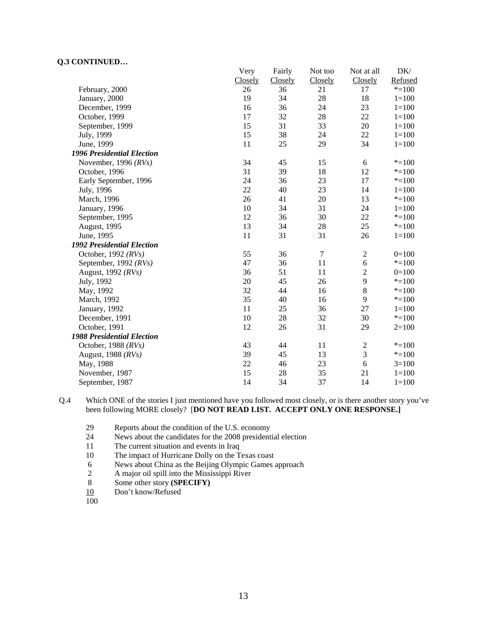|                                   | Very    | Fairly  | Not too | Not at all     | DK/       |
|-----------------------------------|---------|---------|---------|----------------|-----------|
|                                   | Closely | Closely | Closely | Closely        | Refused   |
| February, 2000                    | 26      | 36      | 21      | 17             | $* = 100$ |
| January, 2000                     | 19      | 34      | 28      | 18             | $1 = 100$ |
| December, 1999                    | 16      | 36      | 24      | 23             | $1 = 100$ |
| October, 1999                     | 17      | 32      | 28      | 22             | $1 = 100$ |
| September, 1999                   | 15      | 31      | 33      | 20             | $1 = 100$ |
| July, 1999                        | 15      | 38      | 24      | 22             | $1 = 100$ |
| June, 1999                        | 11      | 25      | 29      | 34             | $1 = 100$ |
| <b>1996 Presidential Election</b> |         |         |         |                |           |
| November, 1996 $(RVs)$            | 34      | 45      | 15      | 6              | $* = 100$ |
| October, 1996                     | 31      | 39      | 18      | 12             | $* = 100$ |
| Early September, 1996             | 24      | 36      | 23      | 17             | $* = 100$ |
| July, 1996                        | 22      | 40      | 23      | 14             | $1 = 100$ |
| March, 1996                       | 26      | 41      | 20      | 13             | $* = 100$ |
| January, 1996                     | 10      | 34      | 31      | 24             | $1 = 100$ |
| September, 1995                   | 12      | 36      | 30      | 22             | $* = 100$ |
| August, 1995                      | 13      | 34      | 28      | 25             | $* = 100$ |
| June, 1995                        | 11      | 31      | 31      | 26             | $1 = 100$ |
| <b>1992 Presidential Election</b> |         |         |         |                |           |
| October, 1992 (RVs)               | 55      | 36      | $\tau$  | $\mathbf{2}$   | $0=100$   |
| September, 1992 (RVs)             | 47      | 36      | 11      | 6              | $* = 100$ |
| August, 1992 (RVs)                | 36      | 51      | 11      | $\overline{2}$ | $0=100$   |
| July, 1992                        | 20      | 45      | 26      | 9              | $* = 100$ |
| May, 1992                         | 32      | 44      | 16      | 8              | $* = 100$ |
| March, 1992                       | 35      | 40      | 16      | 9              | $* = 100$ |
| January, 1992                     | 11      | 25      | 36      | 27             | $1 = 100$ |
| December, 1991                    | 10      | 28      | 32      | 30             | $* = 100$ |
| October, 1991                     | 12      | 26      | 31      | 29             | $2=100$   |
| <b>1988 Presidential Election</b> |         |         |         |                |           |
| October, 1988 $(RVs)$             | 43      | 44      | 11      | $\mathbf{2}$   | $* = 100$ |
| August, 1988 (RVs)                | 39      | 45      | 13      | $\mathfrak{Z}$ | $* = 100$ |
| May, 1988                         | 22      | 46      | 23      | 6              | $3=100$   |
| November, 1987                    | 15      | 28      | 35      | 21             | $1 = 100$ |
| September, 1987                   | 14      | 34      | 37      | 14             | $1 = 100$ |

Q.4 Which ONE of the stories I just mentioned have you followed most closely, or is there another story you've been following MORE closely? [**DO NOT READ LIST. ACCEPT ONLY ONE RESPONSE.]** 

- 29 Reports about the condition of the U.S. economy
- 24 News about the candidates for the 2008 presidential election<br>11 The current situation and events in Iraq
- The current situation and events in Iraq
- 10 The impact of Hurricane Dolly on the Texas coast
- 6 News about China as the Beijing Olympic Games approach<br>2 A major oil spill into the Mississippi River
- 2 A major oil spill into the Mississippi River<br>8 Some other story (SPECIFY)
- 8 Some other story **(SPECIFY)**<br>10 Don't know/Refused
- Don't know/Refused
- 100